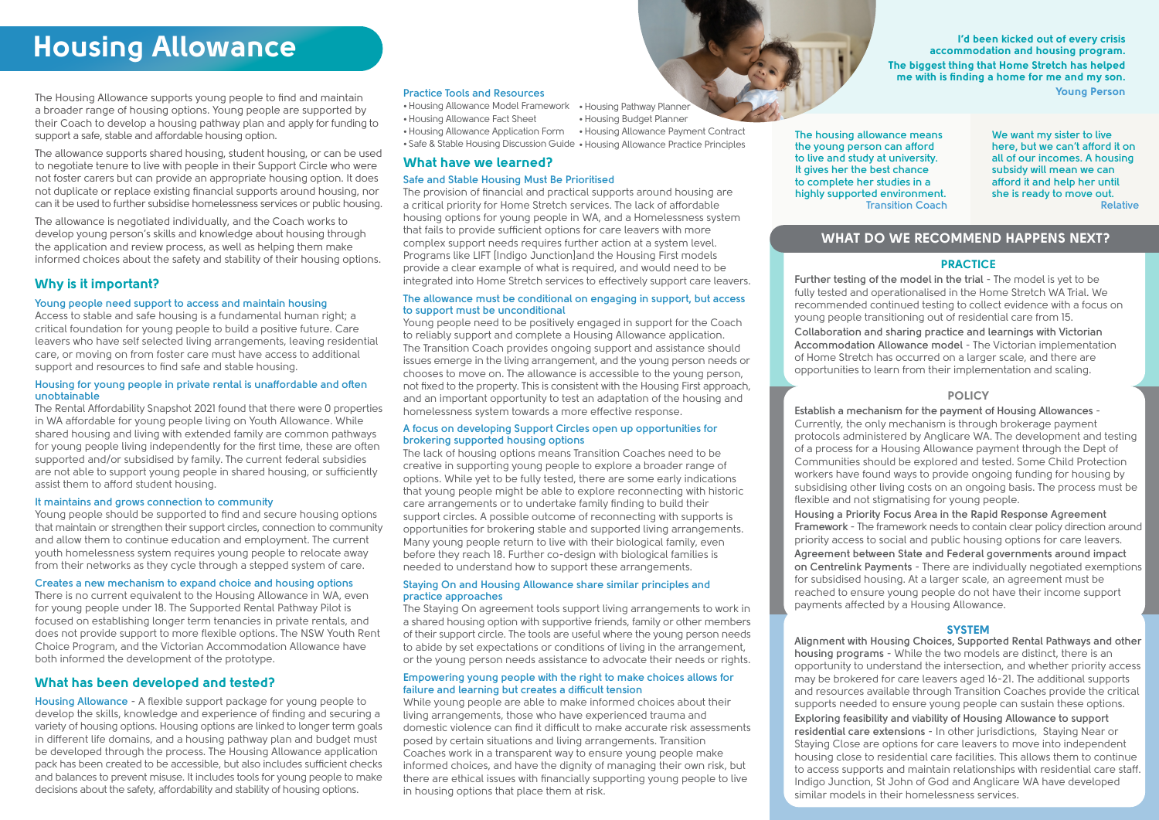# **Housing Allowance**

The Housing Allowance supports young people to find and maintain a broader range of housing options. Young people are supported by their Coach to develop a housing pathway plan and apply for funding to support a safe, stable and affordable housing option.

The allowance supports shared housing, student housing, or can be used to negotiate tenure to live with people in their Support Circle who were not foster carers but can provide an appropriate housing option. It does not duplicate or replace existing financial supports around housing, nor can it be used to further subsidise homelessness services or public housing.

The allowance is negotiated individually, and the Coach works to develop young person's skills and knowledge about housing through the application and review process, as well as helping them make informed choices about the safety and stability of their housing options.

I'd been kicked out of every crisis accommodation and housing program. The biggest thing that Home Stretch has helped me with is finding a home for me and my son. Young Person

> **We want my sister to live here, but we can't afford it on all of our incomes. A housing subsidy will mean we can afford it and help her until she is ready to move out. Relative**

# WHAT DO WE RECOMMEND HAPPENS NEXT?

#### **PRACTICE**

**The housing allowance means the young person can afford to live and study at university. It gives her the best chance to complete her studies in a highly supported environment. Transition Coach**

#### **Young people need support to access and maintain housing**

Access to stable and safe housing is a fundamental human right; a critical foundation for young people to build a positive future. Care leavers who have self selected living arrangements, leaving residential care, or moving on from foster care must have access to additional support and resources to find safe and stable housing.

#### **Housing for young people in private rental is unaffordable and often unobtainable**

The Rental Affordability Snapshot 2021 found that there were 0 properties in WA affordable for young people living on Youth Allowance. While shared housing and living with extended family are common pathways for young people living independently for the first time, these are often supported and/or subsidised by family. The current federal subsidies are not able to support young people in shared housing, or sufficiently assist them to afford student housing.

#### **It maintains and grows connection to community**

Young people should be supported to find and secure housing options that maintain or strengthen their support circles, connection to community and allow them to continue education and employment. The current youth homelessness system requires young people to relocate away from their networks as they cycle through a stepped system of care.

#### **Creates a new mechanism to expand choice and housing options**

There is no current equivalent to the Housing Allowance in WA, even for young people under 18. The Supported Rental Pathway Pilot is focused on establishing longer term tenancies in private rentals, and does not provide support to more flexible options. The NSW Youth Rent Choice Program, and the Victorian Accommodation Allowance have both informed the development of the prototype.

# Why is it important?

# What has been developed and tested?

**Housing Allowance** - A flexible support package for young people to develop the skills, knowledge and experience of finding and securing a variety of housing options. Housing options are linked to longer term goals in different life domains, and a housing pathway plan and budget must be developed through the process. The Housing Allowance application pack has been created to be accessible, but also includes sufficient checks and balances to prevent misuse. It includes tools for young people to make decisions about the safety, affordability and stability of housing options.

## What have we learned?

#### **Safe and Stable Housing Must Be Prioritised**

The provision of financial and practical supports around housing are a critical priority for Home Stretch services. The lack of affordable housing options for young people in WA, and a Homelessness system that fails to provide sufficient options for care leavers with more complex support needs requires further action at a system level. Programs like LIFT [Indigo Junction]and the Housing First models provide a clear example of what is required, and would need to be integrated into Home Stretch services to effectively support care leavers.

#### **The allowance must be conditional on engaging in support, but access to support must be unconditional**

- •Housing Allowance Model Framework •Housing Pathway Planner
- •Housing Allowance Fact Sheet
- •Housing Allowance Application Form •Housing Allowance Payment Contract
- Safe & Stable Housing Discussion Guide Housing Allowance Practice Principles

Young people need to be positively engaged in support for the Coach to reliably support and complete a Housing Allowance application. The Transition Coach provides ongoing support and assistance should issues emerge in the living arrangement, and the young person needs or chooses to move on. The allowance is accessible to the young person, not fixed to the property. This is consistent with the Housing First approach, and an important opportunity to test an adaptation of the housing and homelessness system towards a more effective response.

#### **A focus on developing Support Circles open up opportunities for brokering supported housing options**

The lack of housing options means Transition Coaches need to be creative in supporting young people to explore a broader range of options. While yet to be fully tested, there are some early indications that young people might be able to explore reconnecting with historic care arrangements or to undertake family finding to build their support circles. A possible outcome of reconnecting with supports is opportunities for brokering stable and supported living arrangements. Many young people return to live with their biological family, even before they reach 18. Further co-design with biological families is needed to understand how to support these arrangements.

#### **Staying On and Housing Allowance share similar principles and practice approaches**

The Staying On agreement tools support living arrangements to work in a shared housing option with supportive friends, family or other members of their support circle. The tools are useful where the young person needs to abide by set expectations or conditions of living in the arrangement, or the young person needs assistance to advocate their needs or rights.

#### **Empowering young people with the right to make choices allows for failure and learning but creates a difficult tension**

While young people are able to make informed choices about their living arrangements, those who have experienced trauma and domestic violence can find it difficult to make accurate risk assessments posed by certain situations and living arrangements. Transition Coaches work in a transparent way to ensure young people make informed choices, and have the dignity of managing their own risk, but there are ethical issues with financially supporting young people to live in housing options that place them at risk.

**Further testing of the model in the trial** - The model is yet to be fully tested and operationalised in the Home Stretch WA Trial. We recommended continued testing to collect evidence with a focus on young people transitioning out of residential care from 15.

**Collaboration and sharing practice and learnings with Victorian Accommodation Allowance model** - The Victorian implementation of Home Stretch has occurred on a larger scale, and there are opportunities to learn from their implementation and scaling.

#### **POLICY**

**Establish a mechanism for the payment of Housing Allowances** - Currently, the only mechanism is through brokerage payment protocols administered by Anglicare WA. The development and testing of a process for a Housing Allowance payment through the Dept of Communities should be explored and tested. Some Child Protection workers have found ways to provide ongoing funding for housing by subsidising other living costs on an ongoing basis. The process must be flexible and not stigmatising for young people.

**Housing a Priority Focus Area in the Rapid Response Agreement Framework** - The framework needs to contain clear policy direction around priority access to social and public housing options for care leavers. **Agreement between State and Federal governments around impact on Centrelink Payments** - There are individually negotiated exemptions for subsidised housing. At a larger scale, an agreement must be reached to ensure young people do not have their income support payments affected by a Housing Allowance.

#### **SYSTEM**

**Alignment with Housing Choices, Supported Rental Pathways and other housing programs** - While the two models are distinct, there is an opportunity to understand the intersection, and whether priority access may be brokered for care leavers aged 16-21. The additional supports and resources available through Transition Coaches provide the critical supports needed to ensure young people can sustain these options. **Exploring feasibility and viability of Housing Allowance to support residential care extensions** - In other jurisdictions, Staying Near or Staying Close are options for care leavers to move into independent housing close to residential care facilities. This allows them to continue to access supports and maintain relationships with residential care staff. Indigo Junction, St John of God and Anglicare WA have developed similar models in their homelessness services.

#### **Practice Tools and Resources**

•Housing Budget Planner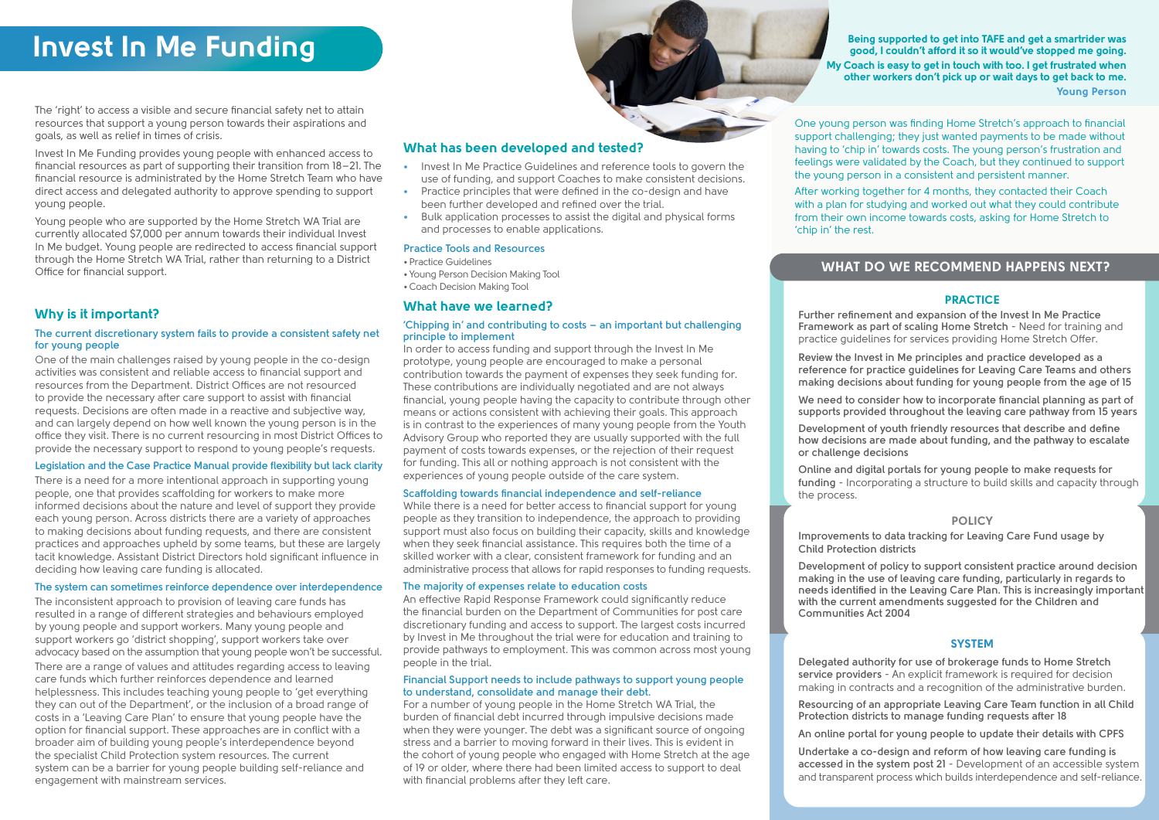# Invest In Me Funding

The 'right' to access a visible and secure financial safety net to attain resources that support a young person towards their aspirations and goals, as well as relief in times of crisis.

Invest In Me Funding provides young people with enhanced access to financial resources as part of supporting their transition from 18–21. The financial resource is administrated by the Home Stretch Team who have direct access and delegated authority to approve spending to support young people.

Young people who are supported by the Home Stretch WA Trial are currently allocated \$7,000 per annum towards their individual Invest In Me budget. Young people are redirected to access financial support through the Home Stretch WA Trial, rather than returning to a District Office for financial support.

Being supported to get into TAFE and get a smartrider was good, I couldn't afford it so it would've stopped me going. My Coach is easy to get in touch with too. I get frustrated when other workers don't pick up or wait days to get back to me. Young Person

One young person was finding Home Stretch's approach to financial support challenging; they just wanted payments to be made without having to 'chip in' towards costs. The young person's frustration and feelings were validated by the Coach, but they continued to support the young person in a consistent and persistent manner.

After working together for 4 months, they contacted their Coach with a plan for studying and worked out what they could contribute from their own income towards costs, asking for Home Stretch to 'chip in' the rest.

#### **The current discretionary system fails to provide a consistent safety net for young people**

One of the main challenges raised by young people in the co-design activities was consistent and reliable access to financial support and resources from the Department. District Offices are not resourced to provide the necessary after care support to assist with financial requests. Decisions are often made in a reactive and subjective way, and can largely depend on how well known the young person is in the office they visit. There is no current resourcing in most District Offices to provide the necessary support to respond to young people's requests.

#### **Legislation and the Case Practice Manual provide flexibility but lack clarity**

There is a need for a more intentional approach in supporting young people, one that provides scaffolding for workers to make more informed decisions about the nature and level of support they provide each young person. Across districts there are a variety of approaches to making decisions about funding requests, and there are consistent practices and approaches upheld by some teams, but these are largely tacit knowledge. Assistant District Directors hold significant influence in deciding how leaving care funding is allocated.

#### **The system can sometimes reinforce dependence over interdependence**

The inconsistent approach to provision of leaving care funds has resulted in a range of different strategies and behaviours employed by young people and support workers. Many young people and support workers go 'district shopping', support workers take over advocacy based on the assumption that young people won't be successful. There are a range of values and attitudes regarding access to leaving care funds which further reinforces dependence and learned helplessness. This includes teaching young people to 'get everything they can out of the Department', or the inclusion of a broad range of costs in a 'Leaving Care Plan' to ensure that young people have the option for financial support. These approaches are in conflict with a broader aim of building young people's interdependence beyond the specialist Child Protection system resources. The current system can be a barrier for young people building self-reliance and engagement with mainstream services.

# Why is it important?

# What has been developed and tested?

- **•** Invest In Me Practice Guidelines and reference tools to govern the use of funding, and support Coaches to make consistent decisions.
- **•** Practice principles that were defined in the co-design and have been further developed and refined over the trial.
- **•** Bulk application processes to assist the digital and physical forms and processes to enable applications.

## What have we learned?

#### **'Chipping in' and contributing to costs – an important but challenging principle to implement**

In order to access funding and support through the Invest In Me prototype, young people are encouraged to make a personal contribution towards the payment of expenses they seek funding for. These contributions are individually negotiated and are not always financial, young people having the capacity to contribute through other means or actions consistent with achieving their goals. This approach is in contrast to the experiences of many young people from the Youth Advisory Group who reported they are usually supported with the full payment of costs towards expenses, or the rejection of their request for funding. This all or nothing approach is not consistent with the experiences of young people outside of the care system.

#### **Scaffolding towards financial independence and self-reliance**

While there is a need for better access to financial support for young people as they transition to independence, the approach to providing support must also focus on building their capacity, skills and knowledge when they seek financial assistance. This requires both the time of a skilled worker with a clear, consistent framework for funding and an administrative process that allows for rapid responses to funding requests.

#### **The majority of expenses relate to education costs**

An effective Rapid Response Framework could significantly reduce the financial burden on the Department of Communities for post care discretionary funding and access to support. The largest costs incurred by Invest in Me throughout the trial were for education and training to provide pathways to employment. This was common across most young people in the trial.

#### **Financial Support needs to include pathways to support young people to understand, consolidate and manage their debt.**

For a number of young people in the Home Stretch WA Trial, the burden of financial debt incurred through impulsive decisions made when they were younger. The debt was a significant source of ongoing stress and a barrier to moving forward in their lives. This is evident in the cohort of young people who engaged with Home Stretch at the age of 19 or older, where there had been limited access to support to deal with financial problems after they left care.

**Further refinement and expansion of the Invest In Me Practice Framework as part of scaling Home Stretch** - Need for training and practice guidelines for services providing Home Stretch Offer.

**Review the Invest in Me principles and practice developed as a reference for practice guidelines for Leaving Care Teams and others making decisions about funding for young people from the age of 15**

**We need to consider how to incorporate financial planning as part of supports provided throughout the leaving care pathway from 15 years**

**Development of youth friendly resources that describe and define how decisions are made about funding, and the pathway to escalate** 

**or challenge decisions**

**Online and digital portals for young people to make requests for funding** - Incorporating a structure to build skills and capacity through

the process.

#### POLICY

#### **SYSTEM**

**Improvements to data tracking for Leaving Care Fund usage by Child Protection districts**

**Development of policy to support consistent practice around decision making in the use of leaving care funding, particularly in regards to needs identified in the Leaving Care Plan. This is increasingly important with the current amendments suggested for the Children and Communities Act 2004**

**Delegated authority for use of brokerage funds to Home Stretch service providers** - An explicit framework is required for decision making in contracts and a recognition of the administrative burden.

**Resourcing of an appropriate Leaving Care Team function in all Child Protection districts to manage funding requests after 18**

**An online portal for young people to update their details with CPFS**

**Undertake a co-design and reform of how leaving care funding is accessed in the system post 21** - Development of an accessible system and transparent process which builds interdependence and self-reliance.

#### **Practice Tools and Resources**

- Practice Guidelines
- Young Person Decision Making Tool
- Coach Decision Making Tool

# WHAT DO WE RECOMMEND HAPPENS NEXT?

#### **PRACTICE**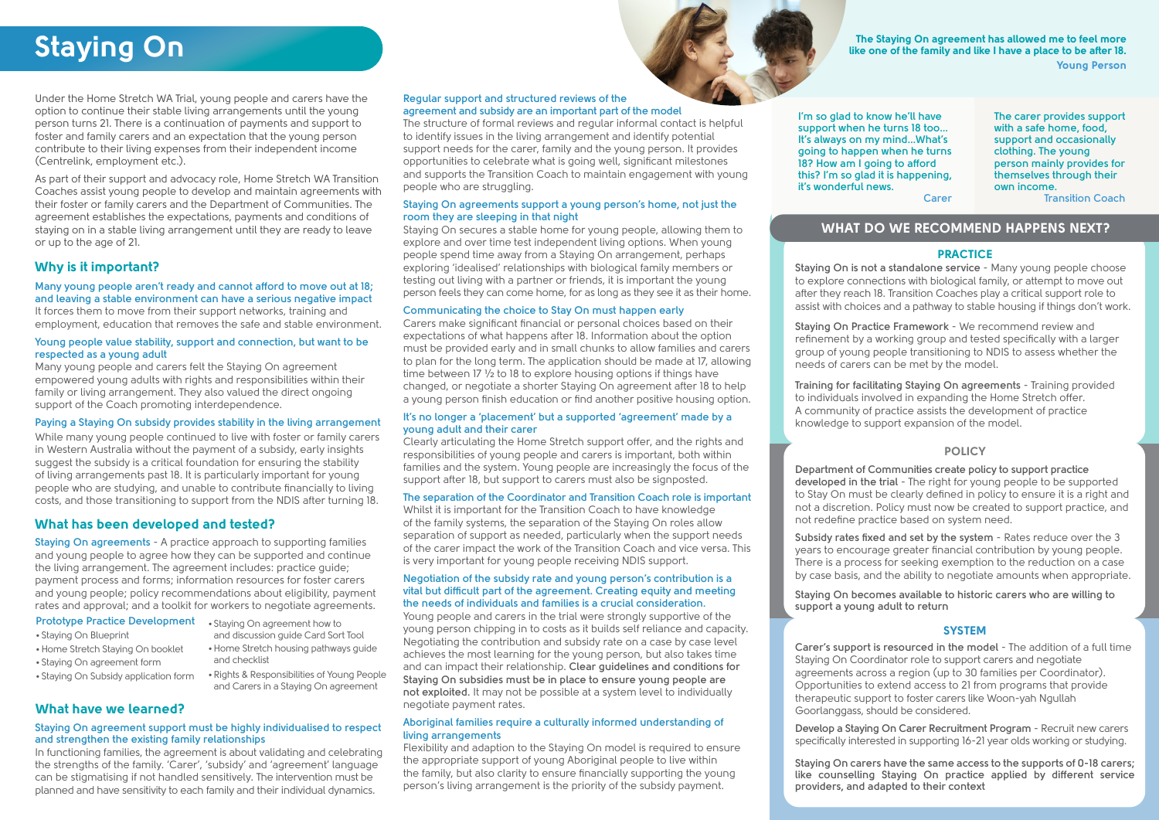# Staying On

Under the Home Stretch WA Trial, young people and carers have the option to continue their stable living arrangements until the young person turns 21. There is a continuation of payments and support to foster and family carers and an expectation that the young person contribute to their living expenses from their independent income (Centrelink, employment etc.).

As part of their support and advocacy role, Home Stretch WA Transition Coaches assist young people to develop and maintain agreements with their foster or family carers and the Department of Communities. The agreement establishes the expectations, payments and conditions of staying on in a stable living arrangement until they are ready to leave or up to the age of 21.

The Staying On agreement has allowed me to feel more like one of the family and like I have a place to be after 18. Young Person

## **Many young people aren't ready and cannot afford to move out at 18; and leaving a stable environment can have a serious negative impact**

It forces them to move from their support networks, training and employment, education that removes the safe and stable environment.

#### **Young people value stability, support and connection, but want to be respected as a young adult**

Many young people and carers felt the Staying On agreement empowered young adults with rights and responsibilities within their family or living arrangement. They also valued the direct ongoing support of the Coach promoting interdependence.

## **Paying a Staying On subsidy provides stability in the living arrangement**

While many young people continued to live with foster or family carers in Western Australia without the payment of a subsidy, early insights suggest the subsidy is a critical foundation for ensuring the stability of living arrangements past 18. It is particularly important for young people who are studying, and unable to contribute financially to living costs, and those transitioning to support from the NDIS after turning 18.

# Why is it important?

# What have we learned?

#### **Staying On agreement support must be highly individualised to respect and strengthen the existing family relationships**

In functioning families, the agreement is about validating and celebrating the strengths of the family. 'Carer', 'subsidy' and 'agreement' language can be stigmatising if not handled sensitively. The intervention must be planned and have sensitivity to each family and their individual dynamics.

**Staying On is not a standalone service** - Many young people choose to explore connections with biological family, or attempt to move out after they reach 18. Transition Coaches play a critical support role to assist with choices and a pathway to stable housing if things don't work.

**Staying On Practice Framework** - We recommend review and refinement by a working group and tested specifically with a larger group of young people transitioning to NDIS to assess whether the needs of carers can be met by the model.

**Training for facilitating Staying On agreements** - Training provided to individuals involved in expanding the Home Stretch offer. A community of practice assists the development of practice knowledge to support expansion of the model.

**Department of Communities create policy to support practice developed in the trial** - The right for young people to be supported to Stay On must be clearly defined in policy to ensure it is a right and not a discretion. Policy must now be created to support practice, and not redefine practice based on system need.

**Subsidy rates fixed and set by the system** - Rates reduce over the 3 years to encourage greater financial contribution by young people. There is a process for seeking exemption to the reduction on a case by case basis, and the ability to negotiate amounts when appropriate.

**Staying On becomes available to historic carers who are willing to support a young adult to return**

**Carer's support is resourced in the model** - The addition of a full time Staying On Coordinator role to support carers and negotiate agreements across a region (up to 30 families per Coordinator). Opportunities to extend access to 21 from programs that provide therapeutic support to foster carers like Woon-yah Ngullah Goorlanggass, should be considered.

**Develop a Staying On Carer Recruitment Program** - Recruit new carers specifically interested in supporting 16-21 year olds working or studying.

**Staying On carers have the same access to the supports of 0-18 carers; like counselling Staying On practice applied by different service providers, and adapted to their context**

**The carer provides support with a safe home, food, support and occasionally clothing. The young person mainly provides for themselves through their own income.**

**Transition Coach**

**I'm so glad to know he'll have support when he turns 18 too... It's always on my mind...What's going to happen when he turns 18? How am I going to afford this? I'm so glad it is happening, it's wonderful news. Carer**

# What has been developed and tested?

**Staying On agreements** - A practice approach to supporting families and young people to agree how they can be supported and continue the living arrangement. The agreement includes: practice guide; payment process and forms; information resources for foster carers and young people; policy recommendations about eligibility, payment rates and approval; and a toolkit for workers to negotiate agreements.

## **Prototype Practice Development** . Staying On agreement how to

- Staying On Blueprint
- •Home Stretch Staying On booklet
- Staying On agreement form
- Staying On Subsidy application form
	-

#### **Regular support and structured reviews of the agreement and subsidy are an important part of the model**

The structure of formal reviews and regular informal contact is helpful to identify issues in the living arrangement and identify potential support needs for the carer, family and the young person. It provides opportunities to celebrate what is going well, significant milestones and supports the Transition Coach to maintain engagement with young people who are struggling.

#### **Staying On agreements support a young person's home, not just the room they are sleeping in that night**

Staying On secures a stable home for young people, allowing them to explore and over time test independent living options. When young people spend time away from a Staying On arrangement, perhaps exploring 'idealised' relationships with biological family members or testing out living with a partner or friends, it is important the young person feels they can come home, for as long as they see it as their home.

#### **Communicating the choice to Stay On must happen early**

Carers make significant financial or personal choices based on their expectations of what happens after 18. Information about the option must be provided early and in small chunks to allow families and carers to plan for the long term. The application should be made at 17, allowing time between 17 ½ to 18 to explore housing options if things have changed, or negotiate a shorter Staying On agreement after 18 to help a young person finish education or find another positive housing option.

#### **It's no longer a 'placement' but a supported 'agreement' made by a young adult and their carer**

Clearly articulating the Home Stretch support offer, and the rights and responsibilities of young people and carers is important, both within families and the system. Young people are increasingly the focus of the support after 18, but support to carers must also be signposted.

#### **The separation of the Coordinator and Transition Coach role is important**

Whilst it is important for the Transition Coach to have knowledge of the family systems, the separation of the Staying On roles allow separation of support as needed, particularly when the support needs of the carer impact the work of the Transition Coach and vice versa. This is very important for young people receiving NDIS support.

#### **Negotiation of the subsidy rate and young person's contribution is a vital but difficult part of the agreement. Creating equity and meeting the needs of individuals and families is a crucial consideration.**

Young people and carers in the trial were strongly supportive of the young person chipping in to costs as it builds self reliance and capacity. Negotiating the contribution and subsidy rate on a case by case level achieves the most learning for the young person, but also takes time and can impact their relationship. **Clear guidelines and conditions for Staying On subsidies must be in place to ensure young people are not exploited.** It may not be possible at a system level to individually negotiate payment rates.

#### **Aboriginal families require a culturally informed understanding of living arrangements**

Flexibility and adaption to the Staying On model is required to ensure the appropriate support of young Aboriginal people to live within the family, but also clarity to ensure financially supporting the young person's living arrangement is the priority of the subsidy payment.

# WHAT DO WE RECOMMEND HAPPENS NEXT?

## **PRACTICE**

## **POLICY**

## **SYSTEM**

#### and discussion guide Card Sort Tool •Home Stretch housing pathways guide and checklist

• Rights & Responsibilities of Young People and Carers in a Staying On agreement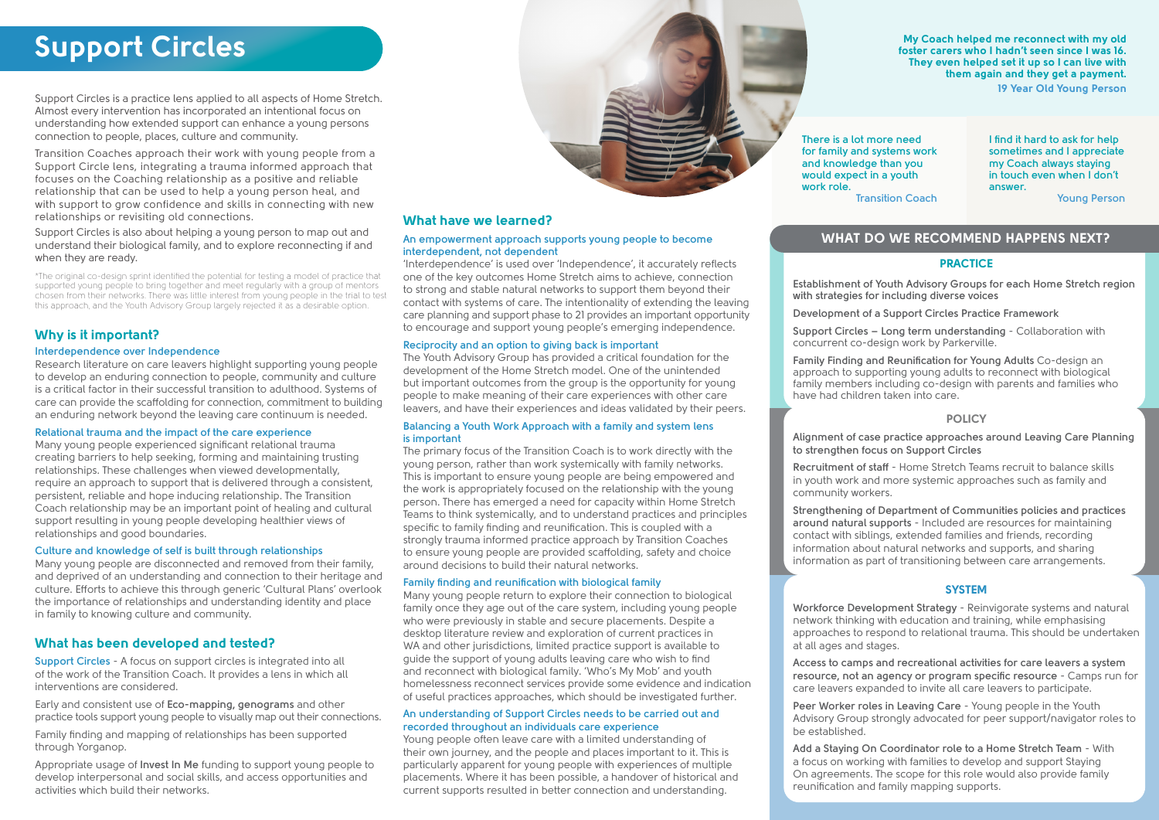My Coach helped me reconnect with my old foster carers who I hadn't seen since I was 16. They even helped set it up so I can live with them again and they get a payment. 19 Year Old Young Person

> **I find it hard to ask for help sometimes and I appreciate my Coach always staying in touch even when I don't answer.**

> > **Young Person**

**There is a lot more need for family and systems work and knowledge than you would expect in a youth work role.**

**Transition Coach**

# WHAT DO WE RECOMMEND HAPPENS NEXT?

#### **PRACTICE**

Support Circles is a practice lens applied to all aspects of Home Stretch. Almost every intervention has incorporated an intentional focus on understanding how extended support can enhance a young persons connection to people, places, culture and community.

Transition Coaches approach their work with young people from a Support Circle lens, integrating a trauma informed approach that focuses on the Coaching relationship as a positive and reliable relationship that can be used to help a young person heal, and with support to grow confidence and skills in connecting with new relationships or revisiting old connections.

Support Circles is also about helping a young person to map out and understand their biological family, and to explore reconnecting if and when they are ready.

\*The original co-design sprint identified the potential for testing a model of practice that supported young people to bring together and meet regularly with a group of mentors chosen from their networks. There was little interest from young people in the trial to test this approach, and the Youth Advisory Group largely rejected it as a desirable option.

#### **Interdependence over Independence**

Research literature on care leavers highlight supporting young people to develop an enduring connection to people, community and culture is a critical factor in their successful transition to adulthood. Systems of care can provide the scaffolding for connection, commitment to building an enduring network beyond the leaving care continuum is needed.

#### **Relational trauma and the impact of the care experience**

Many young people experienced significant relational trauma creating barriers to help seeking, forming and maintaining trusting relationships. These challenges when viewed developmentally, require an approach to support that is delivered through a consistent, persistent, reliable and hope inducing relationship. The Transition Coach relationship may be an important point of healing and cultural support resulting in young people developing healthier views of relationships and good boundaries.

#### **Culture and knowledge of self is built through relationships**

Many young people are disconnected and removed from their family, and deprived of an understanding and connection to their heritage and culture. Efforts to achieve this through generic 'Cultural Plans' overlook the importance of relationships and understanding identity and place in family to knowing culture and community.

# Why is it important?

**Establishment of Youth Advisory Groups for each Home Stretch region with strategies for including diverse voices**

**Development of a Support Circles Practice Framework**

**Support Circles – Long term understanding** - Collaboration with concurrent co-design work by Parkerville.

**Family Finding and Reunification for Young Adults** Co-design an approach to supporting young adults to reconnect with biological family members including co-design with parents and families who have had children taken into care.

## **POLICY**

## **SYSTEM**

**Alignment of case practice approaches around Leaving Care Planning to strengthen focus on Support Circles**

**Recruitment of staff** - Home Stretch Teams recruit to balance skills in youth work and more systemic approaches such as family and community workers.

**Strengthening of Department of Communities policies and practices around natural supports** - Included are resources for maintaining contact with siblings, extended families and friends, recording information about natural networks and supports, and sharing information as part of transitioning between care arrangements.

**Workforce Development Strategy** - Reinvigorate systems and natural network thinking with education and training, while emphasising approaches to respond to relational trauma. This should be undertaken at all ages and stages.

**Access to camps and recreational activities for care leavers a system resource, not an agency or program specific resource** - Camps run for care leavers expanded to invite all care leavers to participate.

**Peer Worker roles in Leaving Care** - Young people in the Youth Advisory Group strongly advocated for peer support/navigator roles to

be established.

**Add a Staying On Coordinator role to a Home Stretch Team** - With a focus on working with families to develop and support Staying On agreements. The scope for this role would also provide family reunification and family mapping supports.

# What has been developed and tested?

**Support Circles** - A focus on support circles is integrated into all of the work of the Transition Coach. It provides a lens in which all interventions are considered.

Early and consistent use of **Eco-mapping, genograms** and other practice tools support young people to visually map out their connections.

Family finding and mapping of relationships has been supported through Yorganop.

Appropriate usage of **Invest In Me** funding to support young people to develop interpersonal and social skills, and access opportunities and activities which build their networks.



# What have we learned?

#### **An empowerment approach supports young people to become interdependent, not dependent**

'Interdependence' is used over 'Independence', it accurately reflects one of the key outcomes Home Stretch aims to achieve, connection to strong and stable natural networks to support them beyond their contact with systems of care. The intentionality of extending the leaving care planning and support phase to 21 provides an important opportunity to encourage and support young people's emerging independence.

#### **Reciprocity and an option to giving back is important**

The Youth Advisory Group has provided a critical foundation for the development of the Home Stretch model. One of the unintended but important outcomes from the group is the opportunity for young people to make meaning of their care experiences with other care leavers, and have their experiences and ideas validated by their peers. 

#### **Balancing a Youth Work Approach with a family and system lens is important**

The primary focus of the Transition Coach is to work directly with the young person, rather than work systemically with family networks. This is important to ensure young people are being empowered and the work is appropriately focused on the relationship with the young person. There has emerged a need for capacity within Home Stretch Teams to think systemically, and to understand practices and principles specific to family finding and reunification. This is coupled with a strongly trauma informed practice approach by Transition Coaches to ensure young people are provided scaffolding, safety and choice around decisions to build their natural networks.

#### **Family finding and reunification with biological family**

Many young people return to explore their connection to biological family once they age out of the care system, including young people who were previously in stable and secure placements. Despite a desktop literature review and exploration of current practices in WA and other jurisdictions, limited practice support is available to guide the support of young adults leaving care who wish to find and reconnect with biological family. 'Who's My Mob' and youth homelessness reconnect services provide some evidence and indication of useful practices approaches, which should be investigated further.

#### **An understanding of Support Circles needs to be carried out and recorded throughout an individuals care experience**

Young people often leave care with a limited understanding of their own journey, and the people and places important to it. This is particularly apparent for young people with experiences of multiple placements. Where it has been possible, a handover of historical and current supports resulted in better connection and understanding.

# Support Circles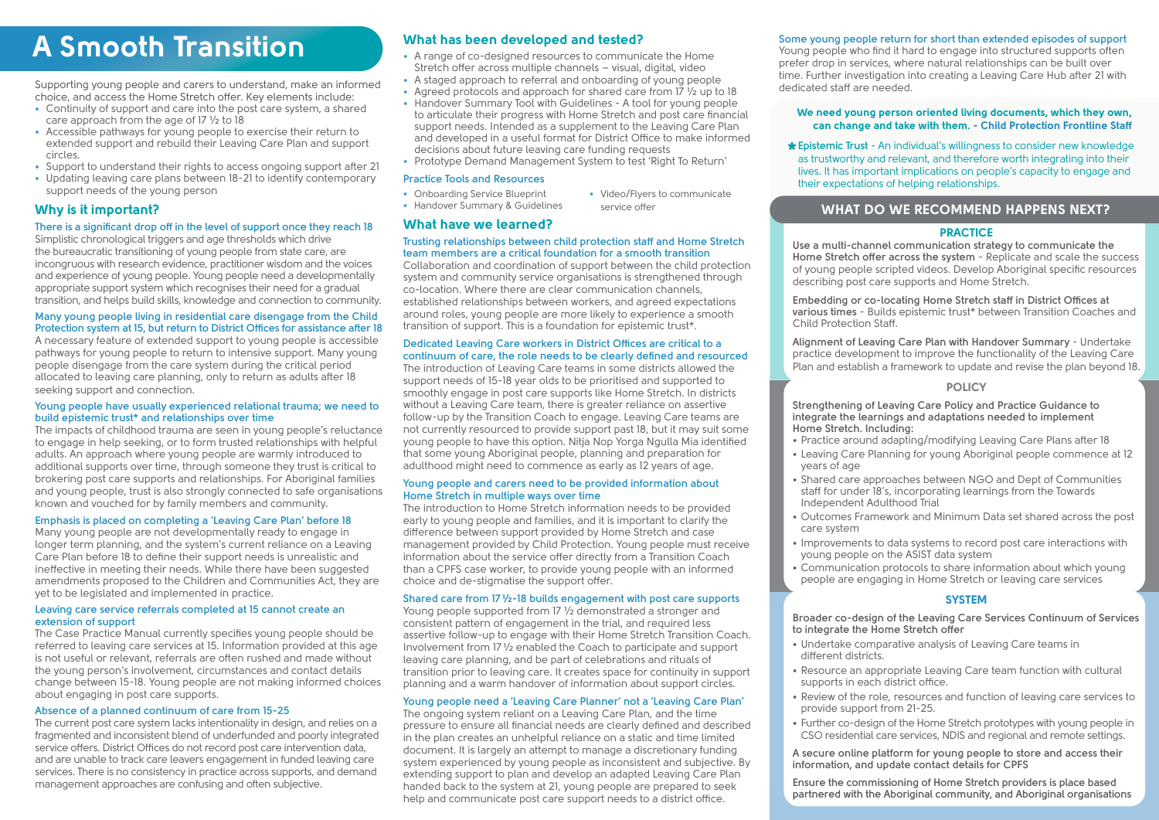# WHAT DO WE RECOMMEND HAPPENS NEXT?

#### **PRACTICE**

# A Smooth Transition

Supporting young people and carers to understand, make an informed choice, and access the Home Stretch offer. Key elements include:

- **•** Continuity of support and care into the post care system, a shared care approach from the age of 17 ½ to 18
- **•** Accessible pathways for young people to exercise their return to extended support and rebuild their Leaving Care Plan and support circles.
- **•** Support to understand their rights to access ongoing support after 21
- **•** Updating leaving care plans between 18-21 to identify contemporary support needs of the young person

**\*** Epistemic Trust - An individual's willingness to consider new knowledge<br>as trustworthy and relevant, and therefore worth integrating into their as trustworthy and relevant, and therefore worth integrating into their lives. It has important implications on people's capacity to engage and their expectations of helping relationships.

#### We need young person oriented living documents, which they own, can change and take with them. - Child Protection Frontline Staff

#### **There is a significant drop off in the level of support once they reach 18**

Simplistic chronological triggers and age thresholds which drive the bureaucratic transitioning of young people from state care, are incongruous with research evidence, practitioner wisdom and the voices and experience of young people. Young people need a developmentally appropriate support system which recognises their need for a gradual transition, and helps build skills, knowledge and connection to community.

#### **Many young people living in residential care disengage from the Child Protection system at 15, but return to District Offices for assistance after 18**

A necessary feature of extended support to young people is accessible pathways for young people to return to intensive support. Many young people disengage from the care system during the critical period allocated to leaving care planning, only to return as adults after 18 seeking support and connection.

#### **Young people have usually experienced relational trauma; we need to build epistemic trust\* and relationships over time**

The impacts of childhood trauma are seen in young people's reluctance to engage in help seeking, or to form trusted relationships with helpful adults. An approach where young people are warmly introduced to additional supports over time, through someone they trust is critical to brokering post care supports and relationships. For Aboriginal families and young people, trust is also strongly connected to safe organisations known and vouched for by family members and community.

## **Emphasis is placed on completing a 'Leaving Care Plan' before 18**

Many young people are not developmentally ready to engage in longer term planning, and the system's current reliance on a Leaving Care Plan before 18 to define their support needs is unrealistic and ineffective in meeting their needs. While there have been suggested amendments proposed to the Children and Communities Act, they are yet to be legislated and implemented in practice.

#### **Leaving care service referrals completed at 15 cannot create an extension of support**

The Case Practice Manual currently specifies young people should be referred to leaving care services at 15. Information provided at this age is not useful or relevant, referrals are often rushed and made without the young person's involvement, circumstances and contact details change between 15-18. Young people are not making informed choices about engaging in post care supports.

#### **Absence of a planned continuum of care from 15-25**

The current post care system lacks intentionality in design, and relies on a fragmented and inconsistent blend of underfunded and poorly integrated service offers. District Offices do not record post care intervention data, and are unable to track care leavers engagement in funded leaving care services. There is no consistency in practice across supports, and demand management approaches are confusing and often subjective.

# Why is it important?

# What has been developed and tested?

- **•** A range of co-designed resources to communicate the Home Stretch offer across multiple channels – visual, digital, video
- **•** A staged approach to referral and onboarding of young people
- **•** Agreed protocols and approach for shared care from 17 ½ up to 18
- **•** Handover Summary Tool with Guidelines A tool for young people to articulate their progress with Home Stretch and post care financial support needs. Intended as a supplement to the Leaving Care Plan and developed in a useful format for District Office to make informed decisions about future leaving care funding requests

**•** Prototype Demand Management System to test 'Right To Return'

## **Trusting relationships between child protection staff and Home Stretch team members are a critical foundation for a smooth transition**

Collaboration and coordination of support between the child protection system and community service organisations is strengthened through co-location. Where there are clear communication channels, established relationships between workers, and agreed expectations around roles, young people are more likely to experience a smooth transition of support. This is a foundation for epistemic trust\*.

#### **Dedicated Leaving Care workers in District Offices are critical to a continuum of care, the role needs to be clearly defined and resourced**

The introduction of Leaving Care teams in some districts allowed the support needs of 15-18 year olds to be prioritised and supported to smoothly engage in post care supports like Home Stretch. In districts without a Leaving Care team, there is greater reliance on assertive follow-up by the Transition Coach to engage. Leaving Care teams are not currently resourced to provide support past 18, but it may suit some young people to have this option. Nitja Nop Yorga Ngulla Mia identified that some young Aboriginal people, planning and preparation for adulthood might need to commence as early as 12 years of age.

#### **Young people and carers need to be provided information about Home Stretch in multiple ways over time**

The introduction to Home Stretch information needs to be provided early to young people and families, and it is important to clarify the difference between support provided by Home Stretch and case management provided by Child Protection. Young people must receive information about the service offer directly from a Transition Coach than a CPFS case worker, to provide young people with an informed choice and de-stigmatise the support offer.

#### **Shared care from 17 ½-18 builds engagement with post care supports**

Young people supported from 17 ½ demonstrated a stronger and consistent pattern of engagement in the trial, and required less assertive follow-up to engage with their Home Stretch Transition Coach. Involvement from 17 ½ enabled the Coach to participate and support leaving care planning, and be part of celebrations and rituals of transition prior to leaving care. It creates space for continuity in support planning and a warm handover of information about support circles.

## **Young people need a 'Leaving Care Planner' not a 'Leaving Care Plan'**

- **•** Onboarding Service Blueprint
- **•** Handover Summary & Guidelines
- What have we learned?

The ongoing system reliant on a Leaving Care Plan, and the time pressure to ensure all financial needs are clearly defined and described in the plan creates an unhelpful reliance on a static and time limited document. It is largely an attempt to manage a discretionary funding system experienced by young people as inconsistent and subjective. By extending support to plan and develop an adapted Leaving Care Plan handed back to the system at 21, young people are prepared to seek help and communicate post care support needs to a district office.

**Use a multi-channel communication strategy to communicate the Home Stretch offer across the system** - Replicate and scale the success of young people scripted videos. Develop Aboriginal specific resources describing post care supports and Home Stretch.

**Embedding or co-locating Home Stretch staff in District Offices at various times** - Builds epistemic trust\* between Transition Coaches and Child Protection Staff.

**Alignment of Leaving Care Plan with Handover Summary** - Undertake practice development to improve the functionality of the Leaving Care Plan and establish a framework to update and revise the plan beyond 18.

## **POLICY**

**Strengthening of Leaving Care Policy and Practice Guidance to integrate the learnings and adaptations needed to implement** 

**Home Stretch. Including:**

• Practice around adapting/modifying Leaving Care Plans after 18 • Leaving Care Planning for young Aboriginal people commence at 12

• Shared care approaches between NGO and Dept of Communities staff for under 18's, incorporating learnings from the Towards

- years of age
- Independent Adulthood Trial
- care system
- 
- 

• Outcomes Framework and Minimum Data set shared across the post

• Improvements to data systems to record post care interactions with young people on the ASIST data system

• Communication protocols to share information about which young people are engaging in Home Stretch or leaving care services

## **SYSTEM**

**Broader co-design of the Leaving Care Services Continuum of Services to integrate the Home Stretch offer** 

• Undertake comparative analysis of Leaving Care teams in

• Resource an appropriate Leaving Care team function with cultural supports in each district office.

- different districts.
- 
- provide support from 21-25.
- 

• Review of the role, resources and function of leaving care services to

• Further co-design of the Home Stretch prototypes with young people in CSO residential care services, NDIS and regional and remote settings.

**A secure online platform for young people to store and access their information, and update contact details for CPFS**

**Ensure the commissioning of Home Stretch providers is place based partnered with the Aboriginal community, and Aboriginal organisations**

#### **Practice Tools and Resources**

#### **Some young people return for short than extended episodes of support**

Young people who find it hard to engage into structured supports often prefer drop in services, where natural relationships can be built over time. Further investigation into creating a Leaving Care Hub after 21 with dedicated staff are needed.

**•** Video/Flyers to communicate

service offer